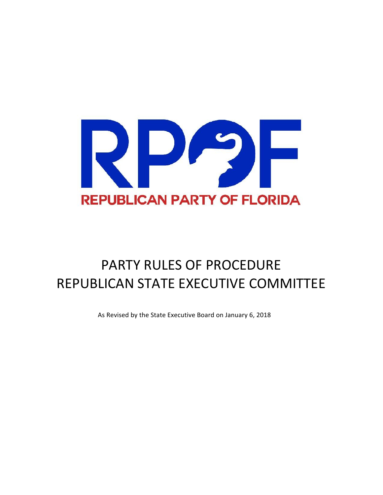

# PARTY RULES OF PROCEDURE REPUBLICAN STATE EXECUTIVE COMMITTEE

As Revised by the State Executive Board on January 6, 2018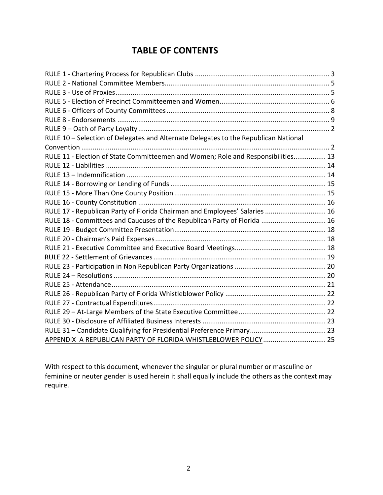### **TABLE OF CONTENTS**

| RULE 10 - Selection of Delegates and Alternate Delegates to the Republican National |  |
|-------------------------------------------------------------------------------------|--|
|                                                                                     |  |
| RULE 11 - Election of State Committeemen and Women; Role and Responsibilities 13    |  |
|                                                                                     |  |
|                                                                                     |  |
|                                                                                     |  |
|                                                                                     |  |
|                                                                                     |  |
| RULE 17 - Republican Party of Florida Chairman and Employees' Salaries  16          |  |
| RULE 18 - Committees and Caucuses of the Republican Party of Florida  16            |  |
|                                                                                     |  |
|                                                                                     |  |
|                                                                                     |  |
|                                                                                     |  |
|                                                                                     |  |
|                                                                                     |  |
|                                                                                     |  |
|                                                                                     |  |
|                                                                                     |  |
|                                                                                     |  |
|                                                                                     |  |
|                                                                                     |  |
| APPENDIX A REPUBLICAN PARTY OF FLORIDA WHISTLEBLOWER POLICY  25                     |  |

With respect to this document, whenever the singular or plural number or masculine or feminine or neuter gender is used herein it shall equally include the others as the context may require.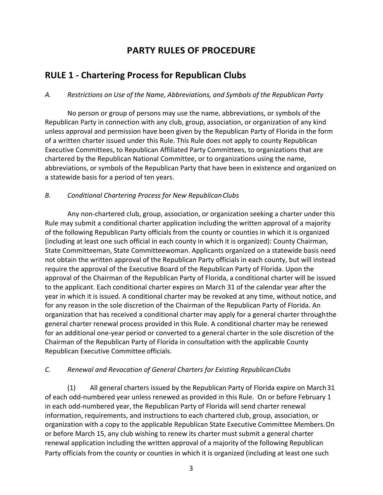### **PARTY RULES OF PROCEDURE**

### **RULE 1 - Chartering Process for Republican Clubs**

#### *A. Restrictions on Use of the Name, Abbreviations, and Symbols of the Republican Party*

No person or group of persons may use the name, abbreviations, or symbols of the Republican Party in connection with any club, group, association, or organization of any kind unless approval and permission have been given by the Republican Party of Florida in the form of a written charter issued under this Rule. This Rule does not apply to county Republican Executive Committees, to Republican Affiliated Party Committees, to organizations that are chartered by the Republican National Committee, or to organizations using the name, abbreviations, or symbols of the Republican Party that have been in existence and organized on a statewide basis for a period of ten years.

#### *B. Conditional Chartering Process for New RepublicanClubs*

Any non-chartered club, group, association, or organization seeking a charter under this Rule may submit a conditional charter application including the written approval of a majority of the following Republican Party officials from the county or counties in which it is organized (including at least one such official in each county in which it is organized): County Chairman, State Committeeman, State Committeewoman. Applicants organized on a statewide basis need not obtain the written approval of the Republican Party officials in each county, but will instead require the approval of the Executive Board of the Republican Party of Florida. Upon the approval of the Chairman of the Republican Party of Florida, a conditional charter will be issued to the applicant. Each conditional charter expires on March 31 of the calendar year after the year in which it is issued. A conditional charter may be revoked at any time, without notice, and for any reason in the sole discretion of the Chairman of the Republican Party of Florida. An organization that has received a conditional charter may apply for a general charter throughthe general charter renewal process provided in this Rule. A conditional charter may be renewed for an additional one-year period or converted to a general charter in the sole discretion of the Chairman of the Republican Party of Florida in consultation with the applicable County Republican Executive Committee officials.

#### *C. Renewal and Revocation of General Charters for Existing RepublicanClubs*

(1) All general charters issued by the Republican Party of Florida expire on March 31 of each odd-numbered year unless renewed as provided in this Rule. On or before February 1 in each odd-numbered year, the Republican Party of Florida will send charter renewal information, requirements, and instructions to each chartered club, group, association, or organization with a copy to the applicable Republican State Executive Committee Members. On or before March 15, any club wishing to renew its charter must submit a general charter renewal application including the written approval of a majority of the following Republican Party officials from the county or counties in which it is organized (including at least one such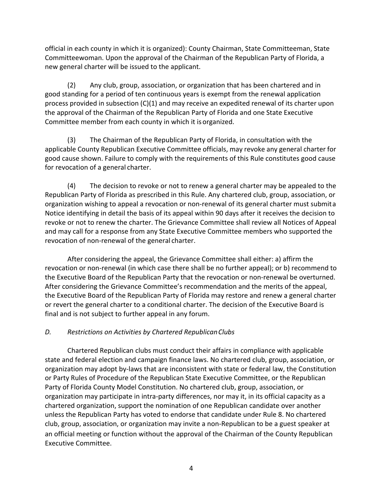official in each county in which it is organized): County Chairman, State Committeeman, State Committeewoman. Upon the approval of the Chairman of the Republican Party of Florida, a new general charter will be issued to the applicant.

(2) Any club, group, association, or organization that has been chartered and in good standing for a period of ten continuous years is exempt from the renewal application process provided in subsection (C)(1) and may receive an expedited renewal of its charter upon the approval of the Chairman of the Republican Party of Florida and one State Executive Committee member from each county in which it is organized.

(3) The Chairman of the Republican Party of Florida, in consultation with the applicable County Republican Executive Committee officials, may revoke any general charter for good cause shown. Failure to comply with the requirements of this Rule constitutes good cause for revocation of a general charter.

(4) The decision to revoke or not to renew a general charter may be appealed to the Republican Party of Florida as prescribed in this Rule. Any chartered club, group, association, or organization wishing to appeal a revocation or non-renewal of its general charter must submita Notice identifying in detail the basis of its appeal within 90 days after it receives the decision to revoke or not to renew the charter. The Grievance Committee shall review all Notices of Appeal and may call for a response from any State Executive Committee members who supported the revocation of non-renewal of the general charter.

After considering the appeal, the Grievance Committee shall either: a) affirm the revocation or non-renewal (in which case there shall be no further appeal); or b) recommend to the Executive Board of the Republican Party that the revocation or non-renewal be overturned. After considering the Grievance Committee's recommendation and the merits of the appeal, the Executive Board of the Republican Party of Florida may restore and renew a general charter or revert the general charter to a conditional charter. The decision of the Executive Board is final and is not subject to further appeal in any forum.

#### *D. Restrictions on Activities by Chartered RepublicanClubs*

Chartered Republican clubs must conduct their affairs in compliance with applicable state and federal election and campaign finance laws. No chartered club, group, association, or organization may adopt by-laws that are inconsistent with state or federal law, the Constitution or Party Rules of Procedure of the Republican State Executive Committee, or the Republican Party of Florida County Model Constitution. No chartered club, group, association, or organization may participate in intra-party differences, nor may it, in its official capacity as a chartered organization, support the nomination of one Republican candidate over another unless the Republican Party has voted to endorse that candidate under Rule 8. No chartered club, group, association, or organization may invite a non-Republican to be a guest speaker at an official meeting or function without the approval of the Chairman of the County Republican Executive Committee.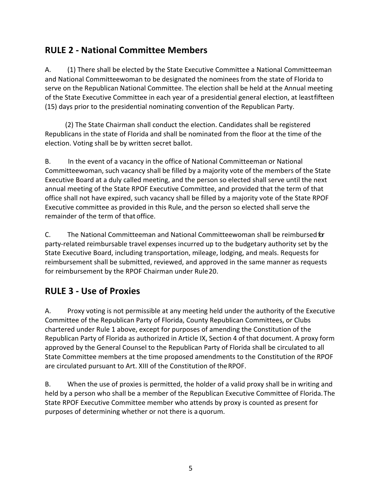### **RULE 2 - National Committee Members**

A. (1) There shall be elected by the State Executive Committee a National Committeeman and National Committeewoman to be designated the nominees from the state of Florida to serve on the Republican National Committee. The election shall be held at the Annual meeting of the State Executive Committee in each year of a presidential general election, at least fifteen (15) days prior to the presidential nominating convention of the Republican Party.

(2) The State Chairman shall conduct the election. Candidates shall be registered Republicans in the state of Florida and shall be nominated from the floor at the time of the election. Voting shall be by written secret ballot.

B. In the event of a vacancy in the office of National Committeeman or National Committeewoman, such vacancy shall be filled by a majority vote of the members of the State Executive Board at a duly called meeting, and the person so elected shall serve until the next annual meeting of the State RPOF Executive Committee, and provided that the term of that office shall not have expired, such vacancy shall be filled by a majority vote of the State RPOF Executive committee as provided in this Rule, and the person so elected shall serve the remainder of the term of that office.

C. The National Committeeman and National Committeewoman shall be reimbursed for party-related reimbursable travel expenses incurred up to the budgetary authority set by the State Executive Board, including transportation, mileage, lodging, and meals. Requests for reimbursement shall be submitted, reviewed, and approved in the same manner as requests for reimbursement by the RPOF Chairman under Rule 20.

### **RULE 3 - Use of Proxies**

A. Proxy voting is not permissible at any meeting held under the authority of the Executive Committee of the Republican Party of Florida, County Republican Committees, or Clubs chartered under Rule 1 above, except for purposes of amending the Constitution of the Republican Party of Florida as authorized in Article IX, Section 4 of that document. A proxy form approved by the General Counsel to the Republican Party of Florida shall be circulated to all State Committee members at the time proposed amendments to the Constitution of the RPOF are circulated pursuant to Art. XIII of the Constitution of the RPOF.

B. When the use of proxies is permitted, the holder of a valid proxy shall be in writing and held by a person who shall be a member of the Republican Executive Committee of Florida. The State RPOF Executive Committee member who attends by proxy is counted as present for purposes of determining whether or not there is a quorum.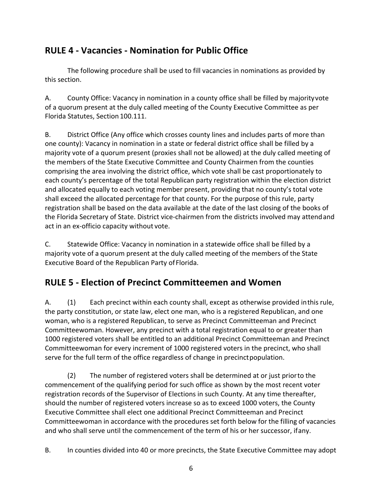### **RULE 4 - Vacancies - Nomination for Public Office**

The following procedure shall be used to fill vacancies in nominations as provided by this section.

A. County Office: Vacancy in nomination in a county office shall be filled by majority vote of a quorum present at the duly called meeting of the County Executive Committee as per Florida Statutes, Section 100.111.

B. District Office (Any office which crosses county lines and includes parts of more than one county): Vacancy in nomination in a state or federal district office shall be filled by a majority vote of a quorum present (proxies shall not be allowed) at the duly called meeting of the members of the State Executive Committee and County Chairmen from the counties comprising the area involving the district office, which vote shall be cast proportionately to each county's percentage of the total Republican party registration within the election district and allocated equally to each voting member present, providing that no county's total vote shall exceed the allocated percentage for that county. For the purpose of this rule, party registration shall be based on the data available at the date of the last closing of the books of the Florida Secretary of State. District vice-chairmen from the districts involved may attend and act in an ex-officio capacity without vote.

C. Statewide Office: Vacancy in nomination in a statewide office shall be filled by a majority vote of a quorum present at the duly called meeting of the members of the State Executive Board of the Republican Party of Florida.

# **RULE 5 - Election of Precinct Committeemen and Women**

A. (1) Each precinct within each county shall, except as otherwise provided in this rule, the party constitution, or state law, elect one man, who is a registered Republican, and one woman, who is a registered Republican, to serve as Precinct Committeeman and Precinct Committeewoman. However, any precinct with a total registration equal to or greater than 1000 registered voters shall be entitled to an additional Precinct Committeeman and Precinct Committeewoman for every increment of 1000 registered voters in the precinct, who shall serve for the full term of the office regardless of change in precinct population.

(2) The number of registered voters shall be determined at or just priorto the commencement of the qualifying period for such office as shown by the most recent voter registration records of the Supervisor of Elections in such County. At any time thereafter, should the number of registered voters increase so as to exceed 1000 voters, the County Executive Committee shall elect one additional Precinct Committeeman and Precinct Committeewoman in accordance with the procedures set forth below for the filling of vacancies and who shall serve until the commencement of the term of his or her successor, ifany.

B. In counties divided into 40 or more precincts, the State Executive Committee may adopt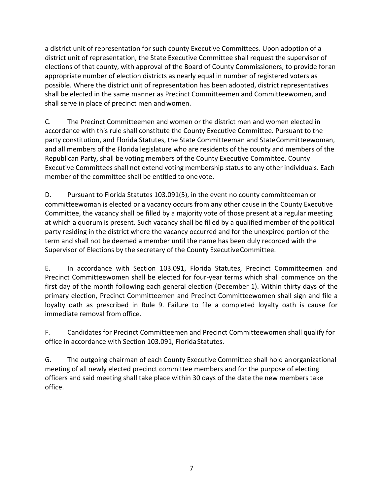a district unit of representation for such county Executive Committees. Upon adoption of a district unit of representation, the State Executive Committee shall request the supervisor of elections of that county, with approval of the Board of County Commissioners, to provide foran appropriate number of election districts as nearly equal in number of registered voters as possible. Where the district unit of representation has been adopted, district representatives shall be elected in the same manner as Precinct Committeemen and Committeewomen, and shall serve in place of precinct men and women.

C. The Precinct Committeemen and women or the district men and women elected in accordance with this rule shall constitute the County Executive Committee. Pursuant to the party constitution, and Florida Statutes, the State Committeeman and State Committeewoman, and all members of the Florida legislature who are residents of the county and members of the Republican Party, shall be voting members of the County Executive Committee. County Executive Committees shall not extend voting membership status to any other individuals. Each member of the committee shall be entitled to one vote.

D. Pursuant to Florida Statutes 103.091(5), in the event no county committeeman or committeewoman is elected or a vacancy occurs from any other cause in the County Executive Committee, the vacancy shall be filled by a majority vote of those present at a regular meeting at which a quorum is present. Such vacancy shall be filled by a qualified member of the political party residing in the district where the vacancy occurred and for the unexpired portion of the term and shall not be deemed a member until the name has been duly recorded with the Supervisor of Elections by the secretary of the County Executive Committee.

E. In accordance with Section 103.091, Florida Statutes, Precinct Committeemen and Precinct Committeewomen shall be elected for four-year terms which shall commence on the first day of the month following each general election (December 1). Within thirty days of the primary election, Precinct Committeemen and Precinct Committeewomen shall sign and file a loyalty oath as prescribed in Rule 9. Failure to file a completed loyalty oath is cause for immediate removal from office.

F. Candidates for Precinct Committeemen and Precinct Committeewomen shall qualify for office in accordance with Section 103.091, Florida Statutes.

G. The outgoing chairman of each County Executive Committee shall hold an organizational meeting of all newly elected precinct committee members and for the purpose of electing officers and said meeting shall take place within 30 days of the date the new members take office.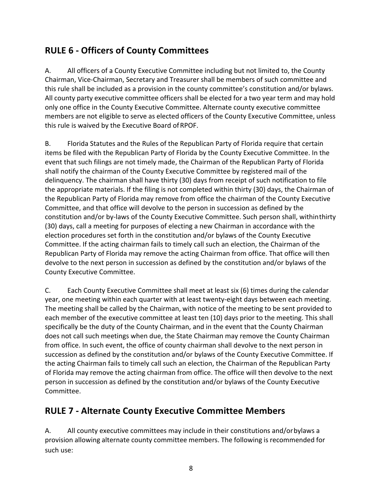# **RULE 6 - Officers of County Committees**

A. All officers of a County Executive Committee including but not limited to, the County Chairman, Vice-Chairman, Secretary and Treasurer shall be members of such committee and this rule shall be included as a provision in the county committee's constitution and/or bylaws. All county party executive committee officers shall be elected for a two year term and may hold only one office in the County Executive Committee. Alternate county executive committee members are not eligible to serve as elected officers of the County Executive Committee, unless this rule is waived by the Executive Board of RPOF.

B. Florida Statutes and the Rules of the Republican Party of Florida require that certain items be filed with the Republican Party of Florida by the County Executive Committee. In the event that such filings are not timely made, the Chairman of the Republican Party of Florida shall notify the chairman of the County Executive Committee by registered mail of the delinguency. The chairman shall have thirty (30) days from receipt of such notification to file the appropriate materials. If the filing is not completed within thirty (30) days, the Chairman of the Republican Party of Florida may remove from office the chairman of the County Executive Committee, and that office will devolve to the person in succession as defined by the constitution and/or by-laws of the County Executive Committee. Such person shall, withinthirty (30) days, call a meeting for purposes of electing a new Chairman in accordance with the election procedures set forth in the constitution and/or bylaws of the County Executive Committee. If the acting chairman fails to timely call such an election, the Chairman of the Republican Party of Florida may remove the acting Chairman from office. That office will then devolve to the next person in succession as defined by the constitution and/or bylaws of the County Executive Committee.

C. Each County Executive Committee shall meet at least six (6) times during the calendar year, one meeting within each quarter with at least twenty-eight days between each meeting. The meeting shall be called by the Chairman, with notice of the meeting to be sent provided to each member of the executive committee at least ten (10) days prior to the meeting. This shall specifically be the duty of the County Chairman, and in the event that the County Chairman does not call such meetings when due, the State Chairman may remove the County Chairman from office. In such event, the office of county chairman shall devolve to the next person in succession as defined by the constitution and/or bylaws of the County Executive Committee. If the acting Chairman fails to timely call such an election, the Chairman of the Republican Party of Florida may remove the acting chairman from office. The office will then devolve to the next person in succession as defined by the constitution and/or bylaws of the County Executive Committee.

### **RULE 7 - Alternate County Executive Committee Members**

A. All county executive committees may include in their constitutions and/orbylaws a provision allowing alternate county committee members. The following is recommended for such use: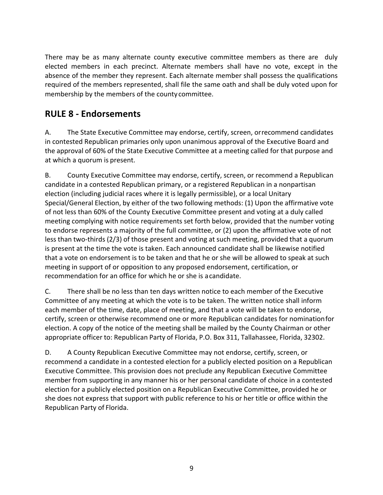There may be as many alternate county executive committee members as there are duly elected members in each precinct. Alternate members shall have no vote, except in the absence of the member they represent. Each alternate member shall possess the qualifications required of the members represented, shall file the same oath and shall be duly voted upon for membership by the members of the county committee.

### **RULE 8 - Endorsements**

A. The State Executive Committee may endorse, certify, screen, orrecommend candidates in contested Republican primaries only upon unanimous approval of the Executive Board and the approval of 60% of the State Executive Committee at a meeting called for that purpose and at which a quorum is present.

B. County Executive Committee may endorse, certify, screen, or recommend a Republican candidate in a contested Republican primary, or a registered Republican in a nonpartisan election (including judicial races where it is legally permissible), or a local Unitary Special/General Election, by either of the two following methods: (1) Upon the affirmative vote of not less than 60% of the County Executive Committee present and voting at a duly called meeting complying with notice requirements set forth below, provided that the number voting to endorse represents a majority of the full committee, or (2) upon the affirmative vote of not less than two-thirds (2/3) of those present and voting at such meeting, provided that a quorum is present at the time the vote is taken. Each announced candidate shall be likewise notified that a vote on endorsement is to be taken and that he or she will be allowed to speak at such meeting in support of or opposition to any proposed endorsement, certification, or recommendation for an office for which he or she is a candidate.

C. There shall be no less than ten days written notice to each member of the Executive Committee of any meeting at which the vote is to be taken. The written notice shall inform each member of the time, date, place of meeting, and that a vote will be taken to endorse, certify, screen or otherwise recommend one or more Republican candidates for nominationfor election. A copy of the notice of the meeting shall be mailed by the County Chairman or other appropriate officer to: Republican Party of Florida, P.O. Box 311, Tallahassee, Florida, 32302.

D. A County Republican Executive Committee may not endorse, certify, screen, or recommend a candidate in a contested election for a publicly elected position on a Republican Executive Committee. This provision does not preclude any Republican Executive Committee member from supporting in any manner his or her personal candidate of choice in a contested election for a publicly elected position on a Republican Executive Committee, provided he or she does not express that support with public reference to his or her title or office within the Republican Party of Florida.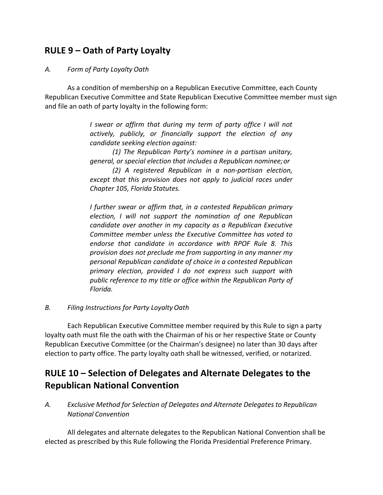#### **RULE 9 – Oath of Party Loyalty**

#### *A. Form of Party Loyalty Oath*

As a condition of membership on a Republican Executive Committee, each County Republican Executive Committee and State Republican Executive Committee member must sign and file an oath of party loyalty in the following form:

> *I* swear or affirm that during my term of party office I will not actively, publicly, or financially support the election of any *candidate seeking election against:*

> *(1)* The Republican Party's nominee in a partisan unitary, *general, or special election that includes a Republican nominee;or*

> *(2) A registered Republican in a non-partisan election, except that this provision does not apply to judicial races under Chapter 105, Florida Statutes.*

> *I* further swear or affirm that, in a contested Republican primary *election, I will not support the nomination of one Republican candidate over another in my capacity as a Republican Executive* Committee member unless the Executive Committee has voted to endorse that candidate in accordance with RPOF Rule 8. This *provision does not preclude me from supporting in any manner my personal Republican candidate of choice in a contested Republican*  primary election, provided I do not express such support with public reference to my title or office within the Republican Party of *Florida.*

*B. Filing Instructions for Party LoyaltyOath*

Each Republican Executive Committee member required by this Rule to sign a party loyalty oath must file the oath with the Chairman of his or her respective State or County Republican Executive Committee (or the Chairman's designee) no later than 30 days after election to party office. The party loyalty oath shall be witnessed, verified, or notarized.

### **RULE 10 – Selection of Delegates and Alternate Delegates to the Republican National Convention**

*A. Exclusive Method for Selection of Delegates and Alternate Delegates to Republican National Convention*

All delegates and alternate delegates to the Republican National Convention shall be elected as prescribed by this Rule following the Florida Presidential Preference Primary.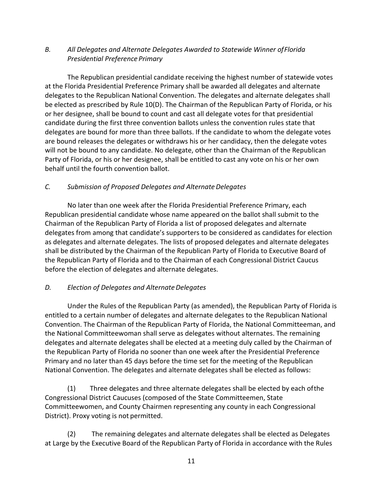#### B. All Delegates and Alternate Delegates Awarded to Statewide Winner of Florida *Presidential Preference Primary*

The Republican presidential candidate receiving the highest number of statewide votes at the Florida Presidential Preference Primary shall be awarded all delegates and alternate delegates to the Republican National Convention. The delegates and alternate delegates shall be elected as prescribed by Rule 10(D). The Chairman of the Republican Party of Florida, or his or her designee, shall be bound to count and cast all delegate votes for that presidential candidate during the first three convention ballots unless the convention rules state that delegates are bound for more than three ballots. If the candidate to whom the delegate votes are bound releases the delegates or withdraws his or her candidacy, then the delegate votes will not be bound to any candidate. No delegate, other than the Chairman of the Republican Party of Florida, or his or her designee, shall be entitled to cast any vote on his or her own behalf until the fourth convention ballot.

#### *C. Submission of Proposed Delegates and AlternateDelegates*

No later than one week after the Florida Presidential Preference Primary, each Republican presidential candidate whose name appeared on the ballot shall submit to the Chairman of the Republican Party of Florida a list of proposed delegates and alternate delegates from among that candidate's supporters to be considered as candidates for election as delegates and alternate delegates. The lists of proposed delegates and alternate delegates shall be distributed by the Chairman of the Republican Party of Florida to Executive Board of the Republican Party of Florida and to the Chairman of each Congressional District Caucus before the election of delegates and alternate delegates.

#### *D. Election of Delegates and AlternateDelegates*

Under the Rules of the Republican Party (as amended), the Republican Party of Florida is entitled to a certain number of delegates and alternate delegates to the Republican National Convention. The Chairman of the Republican Party of Florida, the National Committeeman, and the National Committeewoman shall serve as delegates without alternates. The remaining delegates and alternate delegates shall be elected at a meeting duly called by the Chairman of the Republican Party of Florida no sooner than one week after the Presidential Preference Primary and no later than 45 days before the time set for the meeting of the Republican National Convention. The delegates and alternate delegates shall be elected as follows:

(1) Three delegates and three alternate delegates shall be elected by each of the Congressional District Caucuses (composed of the State Committeemen, State Committeewomen, and County Chairmen representing any county in each Congressional District). Proxy voting is not permitted.

(2) The remaining delegates and alternate delegates shall be elected as Delegates at Large by the Executive Board of the Republican Party of Florida in accordance with the Rules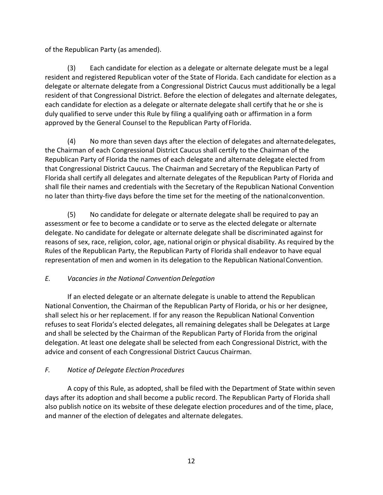of the Republican Party (as amended).

(3) Each candidate for election as a delegate or alternate delegate must be a legal resident and registered Republican voter of the State of Florida. Each candidate for election as a delegate or alternate delegate from a Congressional District Caucus must additionally be a legal resident of that Congressional District. Before the election of delegates and alternate delegates, each candidate for election as a delegate or alternate delegate shall certify that he or she is duly qualified to serve under this Rule by filing a qualifying oath or affirmation in a form approved by the General Counsel to the Republican Party of Florida.

(4) No more than seven days after the election of delegates and alternate delegates, the Chairman of each Congressional District Caucus shall certify to the Chairman of the Republican Party of Florida the names of each delegate and alternate delegate elected from that Congressional District Caucus. The Chairman and Secretary of the Republican Party of Florida shall certify all delegates and alternate delegates of the Republican Party of Florida and shall file their names and credentials with the Secretary of the Republican National Convention no later than thirty-five days before the time set for the meeting of the nationalconvention.

(5) No candidate for delegate or alternate delegate shall be required to pay an assessment or fee to become a candidate or to serve as the elected delegate or alternate delegate. No candidate for delegate or alternate delegate shall be discriminated against for reasons of sex, race, religion, color, age, national origin or physical disability. As required by the Rules of the Republican Party, the Republican Party of Florida shall endeavor to have equal representation of men and women in its delegation to the Republican National Convention.

#### *E. Vacancies in the National Convention Delegation*

If an elected delegate or an alternate delegate is unable to attend the Republican National Convention, the Chairman of the Republican Party of Florida, or his or her designee, shall select his or her replacement. If for any reason the Republican National Convention refuses to seat Florida's elected delegates, all remaining delegates shall be Delegates at Large and shall be selected by the Chairman of the Republican Party of Florida from the original delegation. At least one delegate shall be selected from each Congressional District, with the advice and consent of each Congressional District Caucus Chairman.

#### *F. Notice of Delegate Election Procedures*

A copy of this Rule, as adopted, shall be filed with the Department of State within seven days after its adoption and shall become a public record. The Republican Party of Florida shall also publish notice on its website of these delegate election procedures and of the time, place, and manner of the election of delegates and alternate delegates.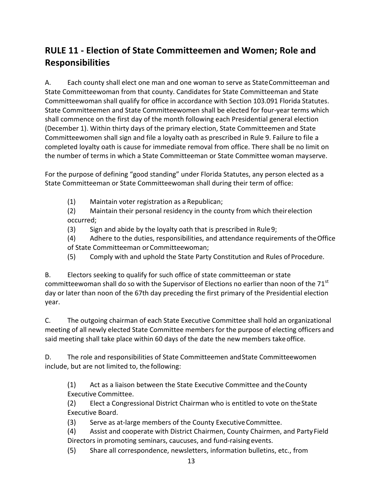# **RULE 11 - Election of State Committeemen and Women; Role and Responsibilities**

A. Each county shall elect one man and one woman to serve as StateCommitteeman and State Committeewoman from that county. Candidates for State Committeeman and State Committeewoman shall qualify for office in accordance with Section 103.091 Florida Statutes. State Committeemen and State Committeewomen shall be elected for four-year terms which shall commence on the first day of the month following each Presidential general election (December 1). Within thirty days of the primary election, State Committeemen and State Committeewomen shall sign and file a loyalty oath as prescribed in Rule 9. Failure to file a completed loyalty oath is cause for immediate removal from office. There shall be no limit on the number of terms in which a State Committeeman or State Committee woman mayserve.

For the purpose of defining "good standing" under Florida Statutes, any person elected as a State Committeeman or State Committeewoman shall during their term of office:

(1) Maintain voter registration as a Republican;

(2) Maintain their personal residency in the county from which their election occurred;

 $(3)$  Sign and abide by the loyalty oath that is prescribed in Rule 9;

(4) Adhere to the duties, responsibilities, and attendance requirements of the Office of State Committeeman or Committeewoman;

(5) Comply with and uphold the State Party Constitution and Rules of Procedure.

B. Electors seeking to qualify for such office of state committeeman or state committeewoman shall do so with the Supervisor of Elections no earlier than noon of the  $71<sup>st</sup>$ day or later than noon of the 67th day preceding the first primary of the Presidential election year.

C. The outgoing chairman of each State Executive Committee shall hold an organizational meeting of all newly elected State Committee members for the purpose of electing officers and said meeting shall take place within 60 days of the date the new members take office.

D. The role and responsibilities of State Committeemen and State Committeewomen include, but are not limited to, the following:

(1) Act as a liaison between the State Executive Committee and the County Executive Committee.

(2) Elect a Congressional District Chairman who is entitled to vote on the State Executive Board.

(3) Serve as at-large members of the County Executive Committee.

(4) Assist and cooperate with District Chairmen, County Chairmen, and Party Field Directors in promoting seminars, caucuses, and fund-raising events.

(5) Share all correspondence, newsletters, information bulletins, etc., from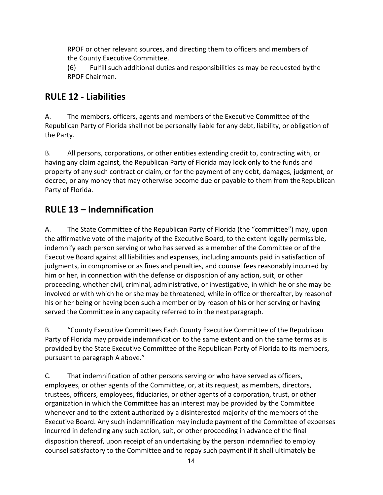RPOF or other relevant sources, and directing them to officers and members of the County Executive Committee.

(6) Fulfill such additional duties and responsibilities as may be requested by the RPOF Chairman.

### **RULE 12 - Liabilities**

A. The members, officers, agents and members of the Executive Committee of the Republican Party of Florida shall not be personally liable for any debt, liability, or obligation of the Party.

B. All persons, corporations, or other entities extending credit to, contracting with, or having any claim against, the Republican Party of Florida may look only to the funds and property of any such contract or claim, or for the payment of any debt, damages, judgment, or decree, or any money that may otherwise become due or payable to them from the Republican Party of Florida.

### **RULE 13 – Indemnification**

A. The State Committee of the Republican Party of Florida (the "committee") may, upon the affirmative vote of the majority of the Executive Board, to the extent legally permissible, indemnify each person serving or who has served as a member of the Committee or of the Executive Board against all liabilities and expenses, including amounts paid in satisfaction of judgments, in compromise or as fines and penalties, and counsel fees reasonably incurred by him or her, in connection with the defense or disposition of any action, suit, or other proceeding, whether civil, criminal, administrative, or investigative, in which he or she may be involved or with which he or she may be threatened, while in office or thereafter, by reason of his or her being or having been such a member or by reason of his or her serving or having served the Committee in any capacity referred to in the next paragraph.

B. "County Executive Committees Each County Executive Committee of the Republican Party of Florida may provide indemnification to the same extent and on the same terms as is provided by the State Executive Committee of the Republican Party of Florida to its members, pursuant to paragraph A above."

C. That indemnification of other persons serving or who have served as officers, employees, or other agents of the Committee, or, at its request, as members, directors, trustees, officers, employees, fiduciaries, or other agents of a corporation, trust, or other organization in which the Committee has an interest may be provided by the Committee whenever and to the extent authorized by a disinterested majority of the members of the Executive Board. Any such indemnification may include payment of the Committee of expenses incurred in defending any such action, suit, or other proceeding in advance of the final disposition thereof, upon receipt of an undertaking by the person indemnified to employ counsel satisfactory to the Committee and to repay such payment if it shall ultimately be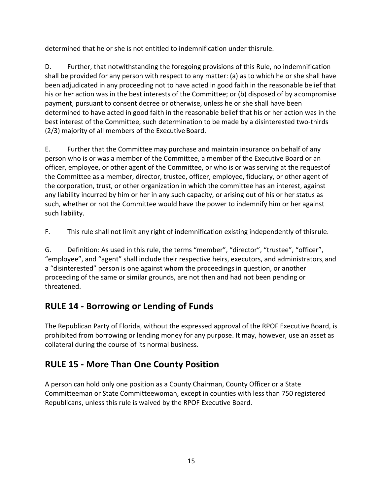determined that he or she is not entitled to indemnification under thisrule.

D. Further, that notwithstanding the foregoing provisions of this Rule, no indemnification shall be provided for any person with respect to any matter: (a) as to which he or she shall have been adjudicated in any proceeding not to have acted in good faith in the reasonable belief that his or her action was in the best interests of the Committee; or (b) disposed of by acompromise payment, pursuant to consent decree or otherwise, unless he or she shall have been determined to have acted in good faith in the reasonable belief that his or her action was in the best interest of the Committee, such determination to be made by a disinterested two-thirds (2/3) majority of all members of the Executive Board.

E. Further that the Committee may purchase and maintain insurance on behalf of any person who is or was a member of the Committee, a member of the Executive Board or an officer, employee, or other agent of the Committee, or who is or was serving at the requestof the Committee as a member, director, trustee, officer, employee, fiduciary, or other agent of the corporation, trust, or other organization in which the committee has an interest, against any liability incurred by him or her in any such capacity, or arising out of his or her status as such, whether or not the Committee would have the power to indemnify him or her against such liability.

F. This rule shall not limit any right of indemnification existing independently of thisrule.

G. Definition: As used in this rule, the terms "member", "director", "trustee", "officer", "employee", and "agent" shall include their respective heirs, executors, and administrators, and a "disinterested" person is one against whom the proceedings in question, or another proceeding of the same or similar grounds, are not then and had not been pending or threatened.

# **RULE 14 - Borrowing or Lending of Funds**

The Republican Party of Florida, without the expressed approval of the RPOF Executive Board, is prohibited from borrowing or lending money for any purpose. It may, however, use an asset as collateral during the course of its normal business.

### **RULE 15 - More Than One County Position**

A person can hold only one position as a County Chairman, County Officer or a State Committeeman or State Committeewoman, except in counties with less than 750 registered Republicans, unless this rule is waived by the RPOF Executive Board.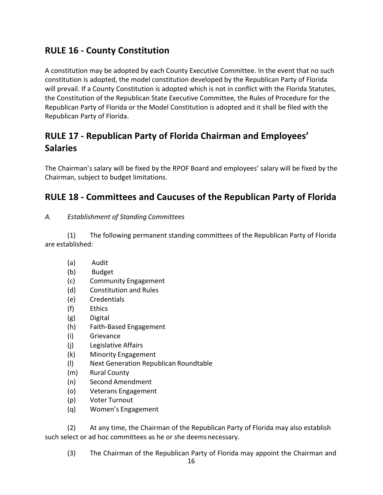### **RULE 16 - County Constitution**

A constitution may be adopted by each County Executive Committee. In the event that no such constitution is adopted, the model constitution developed by the Republican Party of Florida will prevail. If a County Constitution is adopted which is not in conflict with the Florida Statutes, the Constitution of the Republican State Executive Committee, the Rules of Procedure for the Republican Party of Florida or the Model Constitution is adopted and it shall be filed with the Republican Party of Florida.

# **RULE 17 - Republican Party of Florida Chairman and Employees' Salaries**

The Chairman's salary will be fixed by the RPOF Board and employees' salary will be fixed by the Chairman, subject to budget limitations.

### **RULE 18 - Committees and Caucuses of the Republican Party of Florida**

#### *A. Establishment of Standing Committees*

(1) The following permanent standing committees of the Republican Party of Florida are established:

- (a) Audit
- (b) Budget
- (c) Community Engagement
- (d) Constitution and Rules
- (e) Credentials
- (f) Ethics
- (g) Digital
- (h) Faith-Based Engagement
- (i) Grievance
- (j) Legislative Affairs
- (k) Minority Engagement
- (l) Next Generation Republican Roundtable
- (m) Rural County
- (n) Second Amendment
- (o) Veterans Engagement
- (p) Voter Turnout
- (q) Women's Engagement

(2) At any time, the Chairman of the Republican Party of Florida may also establish such select or ad hoc committees as he or she deems necessary.

(3) The Chairman of the Republican Party of Florida may appoint the Chairman and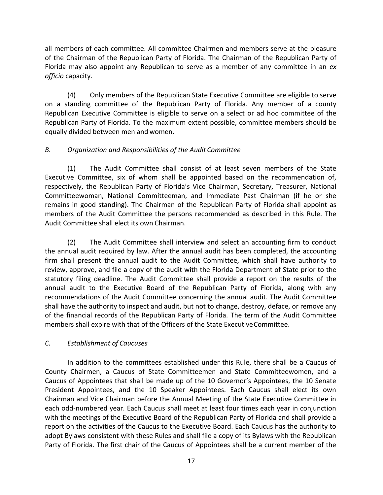all members of each committee. All committee Chairmen and members serve at the pleasure of the Chairman of the Republican Party of Florida. The Chairman of the Republican Party of Florida may also appoint any Republican to serve as a member of any committee in an *ex officio* capacity.

(4) Only members of the Republican State Executive Committee are eligible to serve on a standing committee of the Republican Party of Florida. Any member of a county Republican Executive Committee is eligible to serve on a select or ad hoc committee of the Republican Party of Florida. To the maximum extent possible, committee members should be equally divided between men and women.

#### *B. Organization and Responsibilities of the Audit Committee*

(1) The Audit Committee shall consist of at least seven members of the State Executive Committee, six of whom shall be appointed based on the recommendation of, respectively, the Republican Party of Florida's Vice Chairman, Secretary, Treasurer, National Committeewoman, National Committeeman, and Immediate Past Chairman (if he or she remains in good standing). The Chairman of the Republican Party of Florida shall appoint as members of the Audit Committee the persons recommended as described in this Rule. The Audit Committee shall elect its own Chairman.

(2) The Audit Committee shall interview and select an accounting firm to conduct the annual audit required by law. After the annual audit has been completed, the accounting firm shall present the annual audit to the Audit Committee, which shall have authority to review, approve, and file a copy of the audit with the Florida Department of State prior to the statutory filing deadline. The Audit Committee shall provide a report on the results of the annual audit to the Executive Board of the Republican Party of Florida, along with any recommendations of the Audit Committee concerning the annual audit. The Audit Committee shall have the authority to inspect and audit, but not to change, destroy, deface, or remove any of the financial records of the Republican Party of Florida. The term of the Audit Committee members shall expire with that of the Officers of the State Executive Committee.

#### *C. Establishment of Caucuses*

In addition to the committees established under this Rule, there shall be a Caucus of County Chairmen, a Caucus of State Committeemen and State Committeewomen, and a Caucus of Appointees that shall be made up of the 10 Governor's Appointees, the 10 Senate President Appointees, and the 10 Speaker Appointees. Each Caucus shall elect its own Chairman and Vice Chairman before the Annual Meeting of the State Executive Committee in each odd-numbered year. Each Caucus shall meet at least four times each year in conjunction with the meetings of the Executive Board of the Republican Party of Florida and shall provide a report on the activities of the Caucus to the Executive Board. Each Caucus has the authority to adopt Bylaws consistent with these Rules and shall file a copy of its Bylaws with the Republican Party of Florida. The first chair of the Caucus of Appointees shall be a current member of the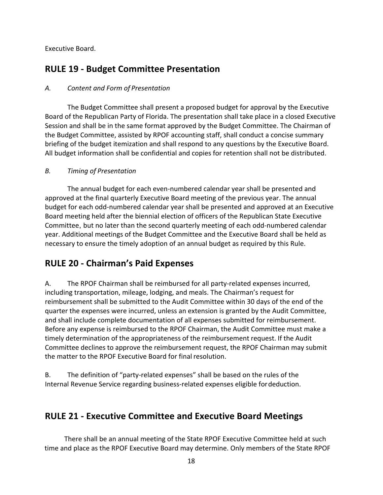Executive Board.

#### **RULE 19 - Budget Committee Presentation**

#### *A. Content and Form of Presentation*

The Budget Committee shall present a proposed budget for approval by the Executive Board of the Republican Party of Florida. The presentation shall take place in a closed Executive Session and shall be in the same format approved by the Budget Committee. The Chairman of the Budget Committee, assisted by RPOF accounting staff, shall conduct a concise summary briefing of the budget itemization and shall respond to any questions by the Executive Board. All budget information shall be confidential and copies for retention shall not be distributed.

#### *B. Timing of Presentation*

The annual budget for each even-numbered calendar year shall be presented and approved at the final quarterly Executive Board meeting of the previous year. The annual budget for each odd-numbered calendar year shall be presented and approved at an Executive Board meeting held after the biennial election of officers of the Republican State Executive Committee, but no later than the second quarterly meeting of each odd-numbered calendar year. Additional meetings of the Budget Committee and the Executive Board shall be held as necessary to ensure the timely adoption of an annual budget as required by this Rule.

#### **RULE 20 - Chairman's Paid Expenses**

A. The RPOF Chairman shall be reimbursed for all party-related expenses incurred, including transportation, mileage, lodging, and meals. The Chairman's request for reimbursement shall be submitted to the Audit Committee within 30 days of the end of the quarter the expenses were incurred, unless an extension is granted by the Audit Committee, and shall include complete documentation of all expenses submitted for reimbursement. Before any expense is reimbursed to the RPOF Chairman, the Audit Committee must make a timely determination of the appropriateness of the reimbursement request. If the Audit Committee declines to approve the reimbursement request, the RPOF Chairman may submit the matter to the RPOF Executive Board for final resolution.

B. The definition of "party-related expenses" shall be based on the rules of the Internal Revenue Service regarding business-related expenses eligible for deduction.

#### **RULE 21 - Executive Committee and Executive Board Meetings**

There shall be an annual meeting of the State RPOF Executive Committee held at such time and place as the RPOF Executive Board may determine. Only members of the State RPOF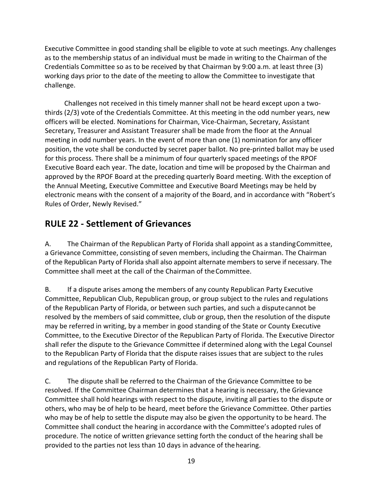Executive Committee in good standing shall be eligible to vote at such meetings. Any challenges as to the membership status of an individual must be made in writing to the Chairman of the Credentials Committee so as to be received by that Chairman by 9:00 a.m. at least three  $(3)$ working days prior to the date of the meeting to allow the Committee to investigate that challenge.

Challenges not received in this timely manner shall not be heard except upon a twothirds (2/3) vote of the Credentials Committee. At this meeting in the odd number years, new officers will be elected. Nominations for Chairman, Vice-Chairman, Secretary, Assistant Secretary, Treasurer and Assistant Treasurer shall be made from the floor at the Annual meeting in odd number years. In the event of more than one  $(1)$  nomination for any officer position, the vote shall be conducted by secret paper ballot. No pre-printed ballot may be used for this process. There shall be a minimum of four quarterly spaced meetings of the RPOF Executive Board each year. The date, location and time will be proposed by the Chairman and approved by the RPOF Board at the preceding quarterly Board meeting. With the exception of the Annual Meeting, Executive Committee and Executive Board Meetings may be held by electronic means with the consent of a majority of the Board, and in accordance with "Robert's Rules of Order, Newly Revised."

### **RULE 22 - Settlement of Grievances**

A. The Chairman of the Republican Party of Florida shall appoint as a standing Committee, a Grievance Committee, consisting of seven members, including the Chairman. The Chairman of the Republican Party of Florida shall also appoint alternate members to serve if necessary. The Committee shall meet at the call of the Chairman of the Committee.

B. If a dispute arises among the members of any county Republican Party Executive Committee, Republican Club, Republican group, or group subject to the rules and regulations of the Republican Party of Florida, or between such parties, and such a dispute cannot be resolved by the members of said committee, club or group, then the resolution of the dispute may be referred in writing, by a member in good standing of the State or County Executive Committee, to the Executive Director of the Republican Party of Florida. The Executive Director shall refer the dispute to the Grievance Committee if determined along with the Legal Counsel to the Republican Party of Florida that the dispute raises issues that are subject to the rules and regulations of the Republican Party of Florida.

C. The dispute shall be referred to the Chairman of the Grievance Committee to be resolved. If the Committee Chairman determines that a hearing is necessary, the Grievance Committee shall hold hearings with respect to the dispute, inviting all parties to the dispute or others, who may be of help to be heard, meet before the Grievance Committee. Other parties who may be of help to settle the dispute may also be given the opportunity to be heard. The Committee shall conduct the hearing in accordance with the Committee's adopted rules of procedure. The notice of written grievance setting forth the conduct of the hearing shall be provided to the parties not less than 10 days in advance of the hearing.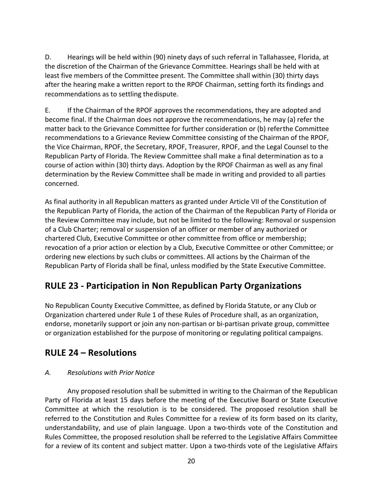D. Hearings will be held within (90) ninety days of such referral in Tallahassee, Florida, at the discretion of the Chairman of the Grievance Committee. Hearings shall be held with at least five members of the Committee present. The Committee shall within (30) thirty days after the hearing make a written report to the RPOF Chairman, setting forth its findings and recommendations as to settling the dispute.

E. If the Chairman of the RPOF approves the recommendations, they are adopted and become final. If the Chairman does not approve the recommendations, he may (a) refer the matter back to the Grievance Committee for further consideration or (b) referthe Committee recommendations to a Grievance Review Committee consisting of the Chairman of the RPOF, the Vice Chairman, RPOF, the Secretary, RPOF, Treasurer, RPOF, and the Legal Counsel to the Republican Party of Florida. The Review Committee shall make a final determination as to a course of action within (30) thirty days. Adoption by the RPOF Chairman as well as any final determination by the Review Committee shall be made in writing and provided to all parties concerned.

As final authority in all Republican matters as granted under Article VII of the Constitution of the Republican Party of Florida, the action of the Chairman of the Republican Party of Florida or the Review Committee may include, but not be limited to the following: Removal or suspension of a Club Charter; removal or suspension of an officer or member of any authorized or chartered Club, Executive Committee or other committee from office or membership; revocation of a prior action or election by a Club, Executive Committee or other Committee; or ordering new elections by such clubs or committees. All actions by the Chairman of the Republican Party of Florida shall be final, unless modified by the State Executive Committee.

### **RULE 23 - Participation in Non Republican Party Organizations**

No Republican County Executive Committee, as defined by Florida Statute, or any Club or Organization chartered under Rule 1 of these Rules of Procedure shall, as an organization, endorse, monetarily support or join any non-partisan or bi-partisan private group, committee or organization established for the purpose of monitoring or regulating political campaigns.

#### **RULE 24 – Resolutions**

#### *A. Resolutions with Prior Notice*

Any proposed resolution shall be submitted in writing to the Chairman of the Republican Party of Florida at least 15 days before the meeting of the Executive Board or State Executive Committee at which the resolution is to be considered. The proposed resolution shall be referred to the Constitution and Rules Committee for a review of its form based on its clarity, understandability, and use of plain language. Upon a two-thirds vote of the Constitution and Rules Committee, the proposed resolution shall be referred to the Legislative Affairs Committee for a review of its content and subject matter. Upon a two-thirds vote of the Legislative Affairs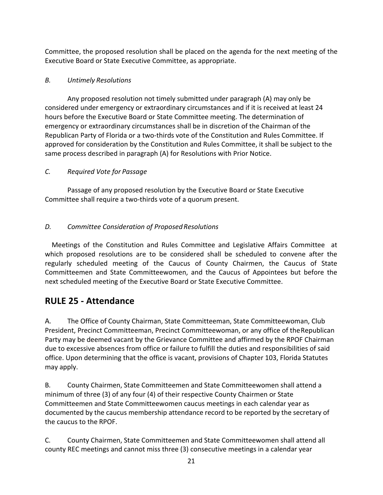Committee, the proposed resolution shall be placed on the agenda for the next meeting of the Executive Board or State Executive Committee, as appropriate.

#### *B. Untimely Resolutions*

Any proposed resolution not timely submitted under paragraph (A) may only be considered under emergency or extraordinary circumstances and if it is received at least 24 hours before the Executive Board or State Committee meeting. The determination of emergency or extraordinary circumstances shall be in discretion of the Chairman of the Republican Party of Florida or a two-thirds vote of the Constitution and Rules Committee. If approved for consideration by the Constitution and Rules Committee, it shall be subject to the same process described in paragraph (A) for Resolutions with Prior Notice.

#### *C. Required Vote for Passage*

Passage of any proposed resolution by the Executive Board or State Executive Committee shall require a two-thirds vote of a quorum present.

#### *D. Committee Consideration of ProposedResolutions*

Meetings of the Constitution and Rules Committee and Legislative Affairs Committee at which proposed resolutions are to be considered shall be scheduled to convene after the regularly scheduled meeting of the Caucus of County Chairmen, the Caucus of State Committeemen and State Committeewomen, and the Caucus of Appointees but before the next scheduled meeting of the Executive Board or State Executive Committee.

#### **RULE 25 - Attendance**

A. The Office of County Chairman, State Committeeman, State Committeewoman, Club President, Precinct Committeeman, Precinct Committeewoman, or any office of the Republican Party may be deemed vacant by the Grievance Committee and affirmed by the RPOF Chairman due to excessive absences from office or failure to fulfill the duties and responsibilities of said office. Upon determining that the office is vacant, provisions of Chapter 103, Florida Statutes may apply.

B. County Chairmen, State Committeemen and State Committeewomen shall attend a minimum of three  $(3)$  of any four  $(4)$  of their respective County Chairmen or State Committeemen and State Committeewomen caucus meetings in each calendar year as documented by the caucus membership attendance record to be reported by the secretary of the caucus to the RPOF.

C. County Chairmen, State Committeemen and State Committeewomen shall attend all county REC meetings and cannot miss three (3) consecutive meetings in a calendar year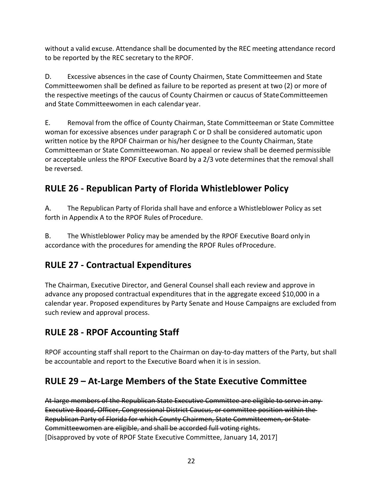without a valid excuse. Attendance shall be documented by the REC meeting attendance record to be reported by the REC secretary to the RPOF.

D. Excessive absences in the case of County Chairmen, State Committeemen and State Committeewomen shall be defined as failure to be reported as present at two (2) or more of the respective meetings of the caucus of County Chairmen or caucus of State Committeemen and State Committeewomen in each calendar year.

E. Bemoval from the office of County Chairman, State Committeeman or State Committee woman for excessive absences under paragraph C or D shall be considered automatic upon written notice by the RPOF Chairman or his/her designee to the County Chairman, State Committeeman or State Committeewoman. No appeal or review shall be deemed permissible or acceptable unless the RPOF Executive Board by a 2/3 vote determines that the removal shall be reversed.

# **RULE 26 - Republican Party of Florida Whistleblower Policy**

A. The Republican Party of Florida shall have and enforce a Whistleblower Policy as set forth in Appendix A to the RPOF Rules of Procedure.

B. The Whistleblower Policy may be amended by the RPOF Executive Board only in accordance with the procedures for amending the RPOF Rules of Procedure.

# **RULE 27 - Contractual Expenditures**

The Chairman, Executive Director, and General Counsel shall each review and approve in advance any proposed contractual expenditures that in the aggregate exceed \$10,000 in a calendar year. Proposed expenditures by Party Senate and House Campaigns are excluded from such review and approval process.

# **RULE 28 - RPOF Accounting Staff**

RPOF accounting staff shall report to the Chairman on day-to-day matters of the Party, but shall be accountable and report to the Executive Board when it is in session.

# **RULE 29 - At-Large Members of the State Executive Committee**

At-large members of the Republican State Executive Committee are eligible to serve in any Executive Board, Officer, Congressional District Caucus, or committee position within the Republican Party of Florida for which County Chairmen, State Committeemen, or State Committeewomen are eligible, and shall be accorded full voting rights. [Disapproved by vote of RPOF State Executive Committee, January 14, 2017]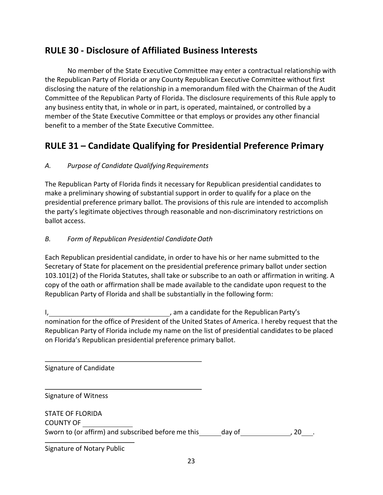### **RULE 30 - Disclosure of Affiliated Business Interests**

No member of the State Executive Committee may enter a contractual relationship with the Republican Party of Florida or any County Republican Executive Committee without first disclosing the nature of the relationship in a memorandum filed with the Chairman of the Audit Committee of the Republican Party of Florida. The disclosure requirements of this Rule apply to any business entity that, in whole or in part, is operated, maintained, or controlled by a member of the State Executive Committee or that employs or provides any other financial benefit to a member of the State Executive Committee.

### **RULE 31 – Candidate Qualifying for Presidential Preference Primary**

#### *A. Purpose of Candidate Qualifying Requirements*

The Republican Party of Florida finds it necessary for Republican presidential candidates to make a preliminary showing of substantial support in order to qualify for a place on the presidential preference primary ballot. The provisions of this rule are intended to accomplish the party's legitimate objectives through reasonable and non-discriminatory restrictions on ballot access.

#### *B. Form of Republican Presidential CandidateOath*

Each Republican presidential candidate, in order to have his or her name submitted to the Secretary of State for placement on the presidential preference primary ballot under section 103.101(2) of the Florida Statutes, shall take or subscribe to an oath or affirmation in writing. A copy of the oath or affirmation shall be made available to the candidate upon request to the Republican Party of Florida and shall be substantially in the following form:

I, the candidate for the Republican Party's canonic state of the Republican Party's nomination for the office of President of the United States of America. I hereby request that the Republican Party of Florida include my name on the list of presidential candidates to be placed on Florida's Republican presidential preference primary ballot.

Signature of Candidate

Signature of Witness

| <b>STATE OF FLORIDA</b>                            |        |  |
|----------------------------------------------------|--------|--|
| <b>COUNTY OF</b>                                   |        |  |
| Sworn to (or affirm) and subscribed before me this | day of |  |

Signature of Notary Public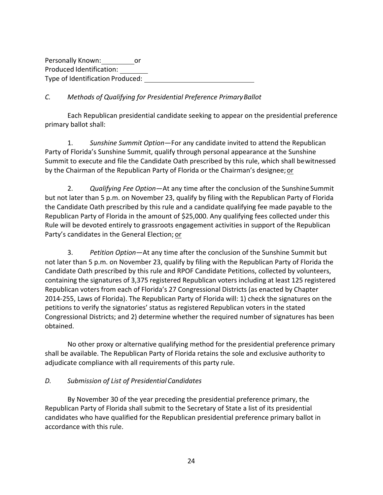Personally Known: or Produced Identification: Type of Identification Produced:

#### *C. Methods of Qualifying for Presidential Preference PrimaryBallot*

Each Republican presidential candidate seeking to appear on the presidential preference primary ballot shall:

1. Sunshine Summit Option—For any candidate invited to attend the Republican Party of Florida's Sunshine Summit, qualify through personal appearance at the Sunshine Summit to execute and file the Candidate Oath prescribed by this rule, which shall bewitnessed by the Chairman of the Republican Party of Florida or the Chairman's designee; or

2. *Qualifying Fee Option*—At any time after the conclusion of the Sunshine Summit but not later than 5 p.m. on November 23, qualify by filing with the Republican Party of Florida the Candidate Oath prescribed by this rule and a candidate qualifying fee made payable to the Republican Party of Florida in the amount of \$25,000. Any qualifying fees collected under this Rule will be devoted entirely to grassroots engagement activities in support of the Republican Party's candidates in the General Election; or

3. Petition Option—At any time after the conclusion of the Sunshine Summit but not later than 5 p.m. on November 23, qualify by filing with the Republican Party of Florida the Candidate Oath prescribed by this rule and RPOF Candidate Petitions, collected by volunteers, containing the signatures of 3,375 registered Republican voters including at least 125 registered Republican voters from each of Florida's 27 Congressional Districts (as enacted by Chapter 2014-255, Laws of Florida). The Republican Party of Florida will: 1) check the signatures on the petitions to verify the signatories' status as registered Republican voters in the stated Congressional Districts; and 2) determine whether the required number of signatures has been obtained.

No other proxy or alternative qualifying method for the presidential preference primary shall be available. The Republican Party of Florida retains the sole and exclusive authority to adjudicate compliance with all requirements of this party rule.

#### *D. Submission of List of Presidential Candidates*

By November 30 of the year preceding the presidential preference primary, the Republican Party of Florida shall submit to the Secretary of State a list of its presidential candidates who have qualified for the Republican presidential preference primary ballot in accordance with this rule.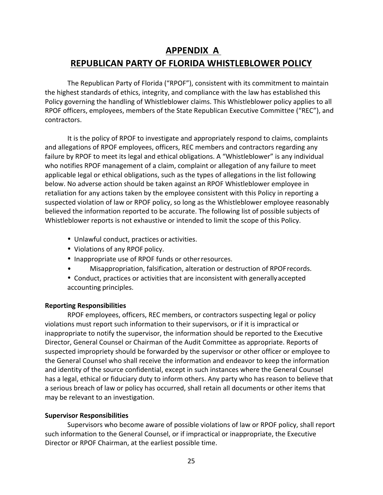# **APPENDIX A REPUBLICAN PARTY OF FLORIDA WHISTLEBLOWER POLICY**

The Republican Party of Florida ("RPOF"), consistent with its commitment to maintain the highest standards of ethics, integrity, and compliance with the law has established this Policy governing the handling of Whistleblower claims. This Whistleblower policy applies to all RPOF officers, employees, members of the State Republican Executive Committee ("REC"), and contractors.

It is the policy of RPOF to investigate and appropriately respond to claims, complaints and allegations of RPOF employees, officers, REC members and contractors regarding any failure by RPOF to meet its legal and ethical obligations. A "Whistleblower" is any individual who notifies RPOF management of a claim, complaint or allegation of any failure to meet applicable legal or ethical obligations, such as the types of allegations in the list following below. No adverse action should be taken against an RPOF Whistleblower employee in retaliation for any actions taken by the employee consistent with this Policy in reporting a suspected violation of law or RPOF policy, so long as the Whistleblower employee reasonably believed the information reported to be accurate. The following list of possible subjects of Whistleblower reports is not exhaustive or intended to limit the scope of this Policy.

- Unlawful conduct, practices or activities.
- Violations of any RPOF policy.
- Inappropriate use of RPOF funds or other resources.
- Misappropriation, falsification, alteration or destruction of RPOF records.
- Conduct, practices or activities that are inconsistent with generally accepted accounting principles.

#### **Reporting Responsibilities**

RPOF employees, officers, REC members, or contractors suspecting legal or policy violations must report such information to their supervisors, or if it is impractical or inappropriate to notify the supervisor, the information should be reported to the Executive Director, General Counsel or Chairman of the Audit Committee as appropriate. Reports of suspected impropriety should be forwarded by the supervisor or other officer or employee to the General Counsel who shall receive the information and endeavor to keep the information and identity of the source confidential, except in such instances where the General Counsel has a legal, ethical or fiduciary duty to inform others. Any party who has reason to believe that a serious breach of law or policy has occurred, shall retain all documents or other items that may be relevant to an investigation.

#### **Supervisor Responsibilities**

Supervisors who become aware of possible violations of law or RPOF policy, shall report such information to the General Counsel, or if impractical or inappropriate, the Executive Director or RPOF Chairman, at the earliest possible time.